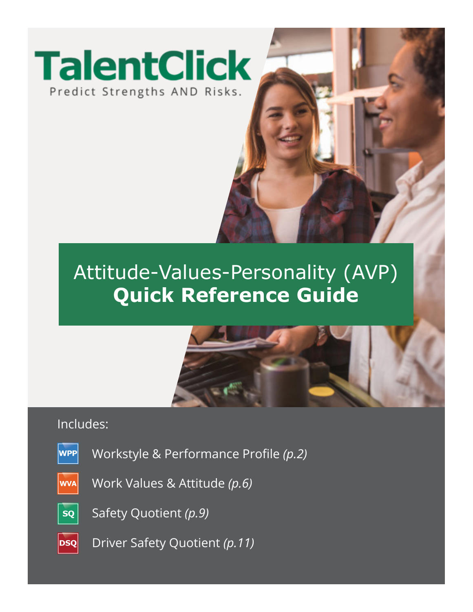

# Attitude-Values-Personality (AVP) **Quick Reference Guide**



# Includes:

**WPP** 

Workstyle & Performance Profile *(p.2)*

- Work Values & Attitude *(p.6)* **WVA**
- **SQ**

Safety Quotient *(p.9)*

 $|{\bf DSQ}|$ Driver Safety Quotient *(p.11)*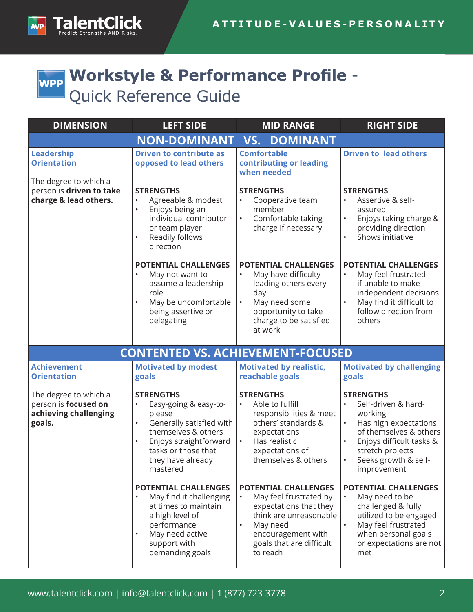

# **Workstyle & Performance Profile** - **WPP** Quick Reference Guide

| <b>DIMENSION</b>                                                                 | <b>LEFT SIDE</b>                                                                                                                                                                                      | <b>MID RANGE</b>                                                                                                                                                                                 | <b>RIGHT SIDE</b>                                                                                                                                                                            |
|----------------------------------------------------------------------------------|-------------------------------------------------------------------------------------------------------------------------------------------------------------------------------------------------------|--------------------------------------------------------------------------------------------------------------------------------------------------------------------------------------------------|----------------------------------------------------------------------------------------------------------------------------------------------------------------------------------------------|
|                                                                                  | <b>NON-DOMINANT</b>                                                                                                                                                                                   | <b>DOMINANT</b><br>VS.                                                                                                                                                                           |                                                                                                                                                                                              |
| Leadership<br><b>Orientation</b>                                                 | <b>Driven to contribute as</b><br>opposed to lead others                                                                                                                                              | <b>Comfortable</b><br>contributing or leading<br>when needed                                                                                                                                     | <b>Driven to lead others</b>                                                                                                                                                                 |
| The degree to which a<br>person is driven to take<br>charge & lead others.       | <b>STRENGTHS</b><br>Agreeable & modest<br>Enjoys being an<br>$\bullet$<br>individual contributor<br>or team player<br>Readily follows<br>direction                                                    | <b>STRENGTHS</b><br>Cooperative team<br>member<br>Comfortable taking<br>$\bullet$<br>charge if necessary                                                                                         | <b>STRENGTHS</b><br>Assertive & self-<br>assured<br>Enjoys taking charge &<br>providing direction<br>Shows initiative                                                                        |
|                                                                                  | <b>POTENTIAL CHALLENGES</b><br>May not want to<br>assume a leadership<br>role<br>May be uncomfortable<br>being assertive or<br>delegating                                                             | <b>POTENTIAL CHALLENGES</b><br>May have difficulty<br>leading others every<br>day<br>May need some<br>$\bullet$<br>opportunity to take<br>charge to be satisfied<br>at work                      | <b>POTENTIAL CHALLENGES</b><br>May feel frustrated<br>if unable to make<br>independent decisions<br>May find it difficult to<br>follow direction from<br>others                              |
|                                                                                  | <b>CONTENTED VS. ACHIEVEMENT-FOCUSED</b>                                                                                                                                                              |                                                                                                                                                                                                  |                                                                                                                                                                                              |
| <b>Achievement</b><br><b>Orientation</b>                                         | <b>Motivated by modest</b><br>goals                                                                                                                                                                   | <b>Motivated by realistic,</b><br>reachable goals                                                                                                                                                | <b>Motivated by challenging</b><br>goals                                                                                                                                                     |
| The degree to which a<br>person is focused on<br>achieving challenging<br>goals. | <b>STRENGTHS</b><br>Easy-going & easy-to-<br>please<br>Generally satisfied with<br>$\bullet$<br>themselves & others<br>Enjoys straightforward<br>tasks or those that<br>they have already<br>mastered | <b>STRENGTHS</b><br>Able to fulfill<br>responsibilities & meet<br>others' standards &<br>expectations<br>Has realistic<br>$\bullet$<br>expectations of<br>themselves & others                    | <b>STRENGTHS</b><br>Self-driven & hard-<br>working<br>Has high expectations<br>of themselves & others<br>Enjoys difficult tasks &<br>stretch projects<br>Seeks growth & self-<br>improvement |
|                                                                                  | POTENTIAL CHALLENGES<br>May find it challenging<br>at times to maintain<br>a high level of<br>performance<br>May need active<br>support with<br>demanding goals                                       | <b>POTENTIAL CHALLENGES</b><br>May feel frustrated by<br>$\bullet$<br>expectations that they<br>think are unreasonable<br>May need<br>encouragement with<br>goals that are difficult<br>to reach | POTENTIAL CHALLENGES<br>May need to be<br>challenged & fully<br>utilized to be engaged<br>May feel frustrated<br>when personal goals<br>or expectations are not<br>met                       |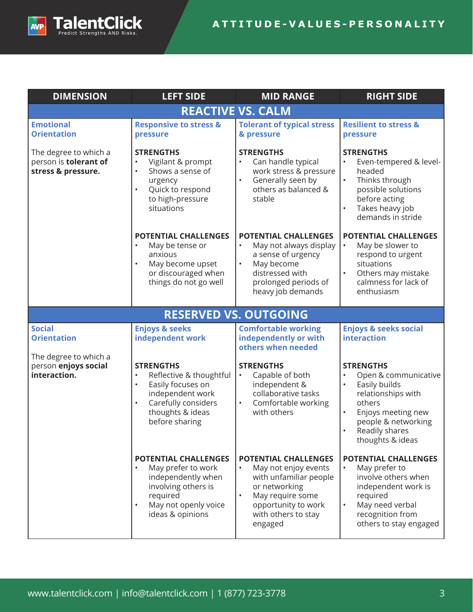



| <b>DIMENSION</b>                                                     | <b>LEFT SIDE</b>                                                                                                                                                                         | <b>MID RANGE</b>                                                                                                                                                                                      | <b>RIGHT SIDE</b>                                                                                                                                                                                                   |  |
|----------------------------------------------------------------------|------------------------------------------------------------------------------------------------------------------------------------------------------------------------------------------|-------------------------------------------------------------------------------------------------------------------------------------------------------------------------------------------------------|---------------------------------------------------------------------------------------------------------------------------------------------------------------------------------------------------------------------|--|
|                                                                      | <b>REACTIVE VS. CALM</b>                                                                                                                                                                 |                                                                                                                                                                                                       |                                                                                                                                                                                                                     |  |
| <b>Emotional</b><br><b>Orientation</b>                               | <b>Responsive to stress &amp;</b><br>pressure                                                                                                                                            | <b>Tolerant of typical stress</b><br>& pressure                                                                                                                                                       | <b>Resilient to stress &amp;</b><br>pressure                                                                                                                                                                        |  |
| The degree to which a<br>person is tolerant of<br>stress & pressure. | <b>STRENGTHS</b><br>Vigilant & prompt<br>$\bullet$<br>Shows a sense of<br>$\bullet$<br>urgency<br>Quick to respond<br>$\bullet$<br>to high-pressure<br>situations                        | <b>STRENGTHS</b><br>Can handle typical<br>$\bullet$<br>work stress & pressure<br>Generally seen by<br>$\bullet$<br>others as balanced &<br>stable                                                     | <b>STRENGTHS</b><br>Even-tempered & level-<br>$\bullet$<br>headed<br>$\bullet$<br>Thinks through<br>possible solutions<br>before acting<br>Takes heavy job<br>$\bullet$<br>demands in stride                        |  |
|                                                                      | <b>POTENTIAL CHALLENGES</b><br>May be tense or<br>$\bullet$<br>anxious<br>May become upset<br>$\bullet$<br>or discouraged when<br>things do not go well                                  | <b>POTENTIAL CHALLENGES</b><br>May not always display<br>$\bullet$<br>a sense of urgency<br>May become<br>$\bullet$<br>distressed with<br>prolonged periods of<br>heavy job demands                   | <b>POTENTIAL CHALLENGES</b><br>May be slower to<br>$\bullet$<br>respond to urgent<br>situations<br>Others may mistake<br>$\bullet$<br>calmness for lack of<br>enthusiasm                                            |  |
|                                                                      |                                                                                                                                                                                          | <b>RESERVED VS. OUTGOING</b>                                                                                                                                                                          |                                                                                                                                                                                                                     |  |
| <b>Social</b><br><b>Orientation</b>                                  | <b>Enjoys &amp; seeks</b><br>independent work                                                                                                                                            | <b>Comfortable working</b><br>independently or with<br>others when needed                                                                                                                             | <b>Enjoys &amp; seeks social</b><br>interaction                                                                                                                                                                     |  |
| The degree to which a<br>person enjoys social<br>interaction.        | <b>STRENGTHS</b><br>Reflective & thoughtful<br>$\bullet$<br>Easily focuses on<br>$\bullet$<br>independent work<br>Carefully considers<br>$\bullet$<br>thoughts & ideas<br>before sharing | <b>STRENGTHS</b><br>Capable of both<br>$\bullet$<br>independent &<br>collaborative tasks<br>Comfortable working<br>$\bullet$<br>with others                                                           | <b>STRENGTHS</b><br>$\bullet$<br>Open & communicative<br>Easily builds<br>$\bullet$<br>relationships with<br>others<br>Enjoys meeting new<br>$\bullet$<br>people & networking<br>Readily shares<br>thoughts & ideas |  |
|                                                                      | <b>POTENTIAL CHALLENGES</b><br>May prefer to work<br>independently when<br>involving others is<br>required<br>May not openly voice<br>$\bullet$<br>ideas & opinions                      | <b>POTENTIAL CHALLENGES</b><br>$\bullet$<br>May not enjoy events<br>with unfamiliar people<br>or networking<br>May require some<br>$\bullet$<br>opportunity to work<br>with others to stay<br>engaged | POTENTIAL CHALLENGES<br>May prefer to<br>involve others when<br>independent work is<br>required<br>May need verbal<br>$\bullet$<br>recognition from<br>others to stay engaged                                       |  |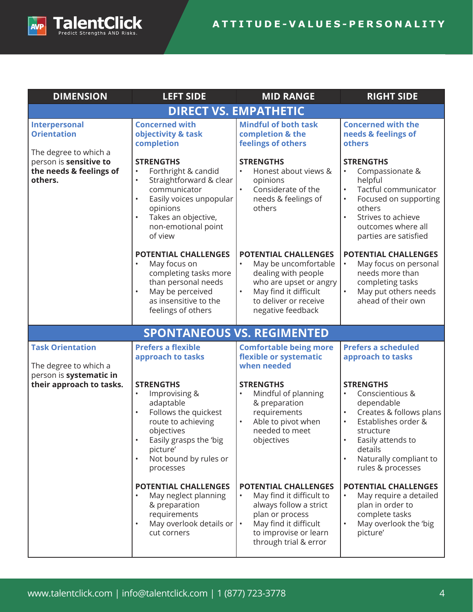

#### **ATTITUDE-VALUES-PERSONALITY**

| <b>DIMENSION</b>                                                            | <b>LEFT SIDE</b>                                                                                                                                                                                                                       | <b>MID RANGE</b>                                                                                                                                                                                          | <b>RIGHT SIDE</b>                                                                                                                                                                                                                                   |  |  |
|-----------------------------------------------------------------------------|----------------------------------------------------------------------------------------------------------------------------------------------------------------------------------------------------------------------------------------|-----------------------------------------------------------------------------------------------------------------------------------------------------------------------------------------------------------|-----------------------------------------------------------------------------------------------------------------------------------------------------------------------------------------------------------------------------------------------------|--|--|
|                                                                             | <b>DIRECT VS. EMPATHETIC</b>                                                                                                                                                                                                           |                                                                                                                                                                                                           |                                                                                                                                                                                                                                                     |  |  |
| Interpersonal<br><b>Orientation</b><br>The degree to which a                | <b>Concerned with</b><br>objectivity & task<br>completion                                                                                                                                                                              | <b>Mindful of both task</b><br>completion & the<br>feelings of others                                                                                                                                     | <b>Concerned with the</b><br>needs & feelings of<br>others                                                                                                                                                                                          |  |  |
| person is sensitive to<br>the needs & feelings of<br>others.                | <b>STRENGTHS</b><br>Forthright & candid<br>$\bullet$<br>Straightforward & clear<br>$\bullet$<br>communicator<br>Easily voices unpopular<br>$\bullet$<br>opinions<br>Takes an objective,<br>$\bullet$<br>non-emotional point<br>of view | <b>STRENGTHS</b><br>$\bullet$<br>Honest about views &<br>opinions<br>$\bullet$<br>Considerate of the<br>needs & feelings of<br>others                                                                     | <b>STRENGTHS</b><br>Compassionate &<br>$\bullet$<br>helpful<br>Tactful communicator<br>Focused on supporting<br>$\bullet$<br>others<br>Strives to achieve<br>$\bullet$<br>outcomes where all<br>parties are satisfied                               |  |  |
|                                                                             | <b>POTENTIAL CHALLENGES</b><br>May focus on<br>$\bullet$<br>completing tasks more<br>than personal needs<br>May be perceived<br>$\bullet$<br>as insensitive to the<br>feelings of others                                               | <b>POTENTIAL CHALLENGES</b><br>May be uncomfortable<br>dealing with people<br>who are upset or angry<br>May find it difficult<br>$\bullet$<br>to deliver or receive<br>negative feedback                  | <b>POTENTIAL CHALLENGES</b><br>May focus on personal<br>$\bullet$<br>needs more than<br>completing tasks<br>May put others needs<br>ahead of their own                                                                                              |  |  |
|                                                                             | <b>SPONTANEOUS VS. REGIMENTED</b>                                                                                                                                                                                                      |                                                                                                                                                                                                           |                                                                                                                                                                                                                                                     |  |  |
| <b>Task Orientation</b><br>The degree to which a<br>person is systematic in | <b>Prefers a flexible</b><br>approach to tasks                                                                                                                                                                                         | <b>Comfortable being more</b><br>flexible or systematic<br>when needed                                                                                                                                    | <b>Prefers a scheduled</b><br>approach to tasks                                                                                                                                                                                                     |  |  |
| their approach to tasks.                                                    | <b>STRENGTHS</b><br>Improvising &<br>$\bullet$<br>adaptable<br>Follows the quickest<br>$\bullet$<br>route to achieving<br>objectives<br>Easily grasps the 'big<br>picture'<br>Not bound by rules or<br>$\bullet$<br>processes          | <b>STRENGTHS</b><br>Mindful of planning<br>& preparation<br>requirements<br>Able to pivot when<br>needed to meet<br>objectives                                                                            | <b>STRENGTHS</b><br>$\bullet$<br>Conscientious &<br>dependable<br>Creates & follows plans<br>$\bullet$<br>Establishes order &<br>$\bullet$<br>structure<br>Easily attends to<br>details<br>Naturally compliant to<br>$\bullet$<br>rules & processes |  |  |
|                                                                             | <b>POTENTIAL CHALLENGES</b><br>May neglect planning<br>& preparation<br>requirements<br>May overlook details or<br>$\bullet$<br>cut corners                                                                                            | <b>POTENTIAL CHALLENGES</b><br>May find it difficult to<br>$\bullet$<br>always follow a strict<br>plan or process<br>May find it difficult<br>$\bullet$<br>to improvise or learn<br>through trial & error | POTENTIAL CHALLENGES<br>May require a detailed<br>plan in order to<br>complete tasks<br>$\bullet$<br>May overlook the 'big<br>picture'                                                                                                              |  |  |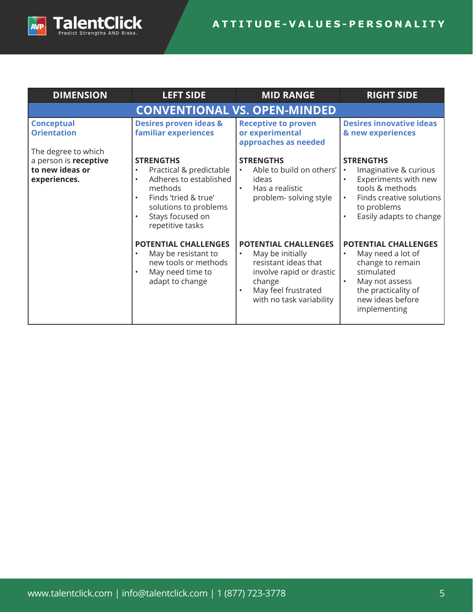

| <b>DIMENSION</b>                                               | <b>LEFT SIDE</b>                                                                                                                                                                                                              | <b>MID RANGE</b>                                                                                                                                                              | <b>RIGHT SIDE</b>                                                                                                                                               |
|----------------------------------------------------------------|-------------------------------------------------------------------------------------------------------------------------------------------------------------------------------------------------------------------------------|-------------------------------------------------------------------------------------------------------------------------------------------------------------------------------|-----------------------------------------------------------------------------------------------------------------------------------------------------------------|
|                                                                | <b>CONVENTIONAL VS. OPEN-MINDED</b>                                                                                                                                                                                           |                                                                                                                                                                               |                                                                                                                                                                 |
| <b>Conceptual</b><br><b>Orientation</b><br>The degree to which | <b>Desires proven ideas &amp;</b><br>familiar experiences                                                                                                                                                                     | <b>Receptive to proven</b><br>or experimental<br>approaches as needed                                                                                                         | <b>Desires innovative ideas</b><br>& new experiences                                                                                                            |
| a person is receptive<br>to new ideas or<br>experiences.       | <b>STRENGTHS</b><br>Practical & predictable<br>$\bullet$<br>Adheres to established<br>$\bullet$<br>methods<br>Finds 'tried & true'<br>$\bullet$<br>solutions to problems<br>Stays focused on<br>$\bullet$<br>repetitive tasks | <b>STRENGTHS</b><br>Able to build on others'<br>$\bullet$<br>ideas<br>Has a realistic<br>$\bullet$<br>problem-solving style                                                   | <b>STRENGTHS</b><br>Imaginative & curious<br>Experiments with new<br>tools & methods<br>Finds creative solutions<br>to problems<br>Easily adapts to change      |
|                                                                | <b>POTENTIAL CHALLENGES</b><br>May be resistant to<br>$\bullet$<br>new tools or methods<br>May need time to<br>$\bullet$<br>adapt to change                                                                                   | <b>POTENTIAL CHALLENGES</b><br>May be initially<br>$\bullet$<br>resistant ideas that<br>involve rapid or drastic<br>change<br>May feel frustrated<br>with no task variability | <b>POTENTIAL CHALLENGES</b><br>May need a lot of<br>change to remain<br>stimulated<br>May not assess<br>the practicality of<br>new ideas before<br>implementing |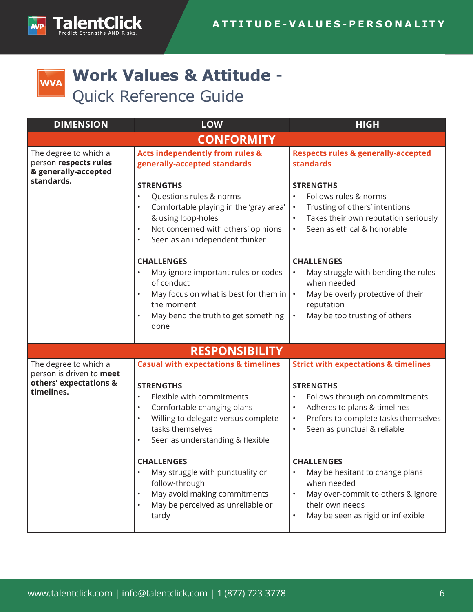

# **Work Values & Attitude** - **WVA** Quick Reference Guide

| <b>DIMENSION</b>                                                                          | <b>LOW</b>                                                                                                                                                                                                                                                                                   | <b>HIGH</b>                                                                                                                                                                                                                                                     |
|-------------------------------------------------------------------------------------------|----------------------------------------------------------------------------------------------------------------------------------------------------------------------------------------------------------------------------------------------------------------------------------------------|-----------------------------------------------------------------------------------------------------------------------------------------------------------------------------------------------------------------------------------------------------------------|
|                                                                                           | <b>CONFORMITY</b>                                                                                                                                                                                                                                                                            |                                                                                                                                                                                                                                                                 |
| The degree to which a<br>person respects rules<br>& generally-accepted<br>standards.      | <b>Acts independently from rules &amp;</b><br>generally-accepted standards<br><b>STRENGTHS</b><br>Questions rules & norms<br>$\bullet$<br>Comfortable playing in the 'gray area'<br>& using loop-holes<br>Not concerned with others' opinions<br>$\bullet$<br>Seen as an independent thinker | <b>Respects rules &amp; generally-accepted</b><br><b>standards</b><br><b>STRENGTHS</b><br>Follows rules & norms<br>$\bullet$<br>Trusting of others' intentions<br>$\bullet$<br>Takes their own reputation seriously<br>Seen as ethical & honorable<br>$\bullet$ |
|                                                                                           | <b>CHALLENGES</b><br>May ignore important rules or codes<br>of conduct<br>May focus on what is best for them in $ \cdot $<br>the moment<br>May bend the truth to get something<br>done                                                                                                       | <b>CHALLENGES</b><br>May struggle with bending the rules<br>$\bullet$<br>when needed<br>May be overly protective of their<br>reputation<br>May be too trusting of others<br>$\bullet$                                                                           |
|                                                                                           | <b>RESPONSIBILITY</b>                                                                                                                                                                                                                                                                        |                                                                                                                                                                                                                                                                 |
| The degree to which a<br>person is driven to meet<br>others' expectations &<br>timelines. | <b>Casual with expectations &amp; timelines</b><br><b>STRENGTHS</b><br>Flexible with commitments<br>$\bullet$<br>Comfortable changing plans<br>Willing to delegate versus complete<br>$\bullet$<br>tasks themselves<br>Seen as understanding & flexible                                      | <b>Strict with expectations &amp; timelines</b><br><b>STRENGTHS</b><br>Follows through on commitments<br>$\bullet$<br>Adheres to plans & timelines<br>Prefers to complete tasks themselves<br>$\bullet$<br>Seen as punctual & reliable<br>$\bullet$             |
|                                                                                           | <b>CHALLENGES</b><br>May struggle with punctuality or<br>follow-through<br>May avoid making commitments<br>May be perceived as unreliable or<br>tardy                                                                                                                                        | <b>CHALLENGES</b><br>May be hesitant to change plans<br>when needed<br>May over-commit to others & ignore<br>$\bullet$<br>their own needs<br>May be seen as rigid or inflexible                                                                                 |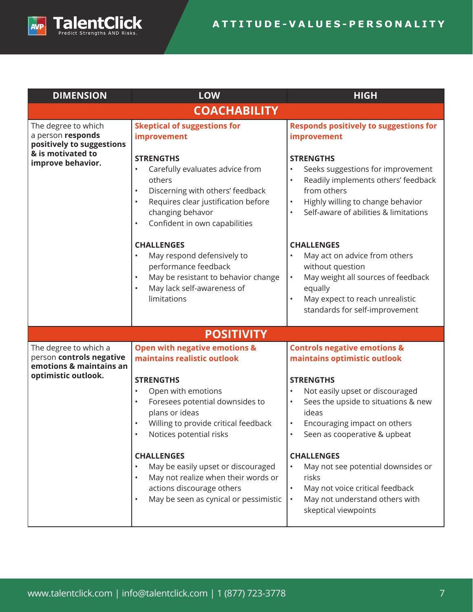

| <b>DIMENSION</b>                                                             | <b>LOW</b>                                                                                                                                                                                                                                                                                                                                                                                              | <b>HIGH</b>                                                                                                                                                                                                                                                                                                                                                                 |
|------------------------------------------------------------------------------|---------------------------------------------------------------------------------------------------------------------------------------------------------------------------------------------------------------------------------------------------------------------------------------------------------------------------------------------------------------------------------------------------------|-----------------------------------------------------------------------------------------------------------------------------------------------------------------------------------------------------------------------------------------------------------------------------------------------------------------------------------------------------------------------------|
|                                                                              | <b>COACHABILITY</b>                                                                                                                                                                                                                                                                                                                                                                                     |                                                                                                                                                                                                                                                                                                                                                                             |
| The degree to which<br>a person responds<br>positively to suggestions        | <b>Skeptical of suggestions for</b><br>improvement                                                                                                                                                                                                                                                                                                                                                      | <b>Responds positively to suggestions for</b><br>improvement                                                                                                                                                                                                                                                                                                                |
| & is motivated to<br>improve behavior.                                       | <b>STRENGTHS</b><br>Carefully evaluates advice from<br>$\bullet$<br>others<br>Discerning with others' feedback<br>$\bullet$<br>Requires clear justification before<br>$\bullet$<br>changing behavor<br>Confident in own capabilities<br>$\bullet$<br><b>CHALLENGES</b><br>May respond defensively to<br>$\bullet$                                                                                       | <b>STRENGTHS</b><br>Seeks suggestions for improvement<br>$\bullet$<br>Readily implements others' feedback<br>$\bullet$<br>from others<br>Highly willing to change behavior<br>$\bullet$<br>Self-aware of abilities & limitations<br>$\bullet$<br><b>CHALLENGES</b><br>May act on advice from others<br>$\bullet$                                                            |
|                                                                              | performance feedback<br>May be resistant to behavior change<br>$\bullet$<br>May lack self-awareness of<br>$\bullet$<br>limitations                                                                                                                                                                                                                                                                      | without question<br>May weight all sources of feedback<br>$\bullet$<br>equally<br>May expect to reach unrealistic<br>$\bullet$<br>standards for self-improvement                                                                                                                                                                                                            |
|                                                                              | <b>POSITIVITY</b>                                                                                                                                                                                                                                                                                                                                                                                       |                                                                                                                                                                                                                                                                                                                                                                             |
| The degree to which a<br>person controls negative<br>emotions & maintains an | <b>Open with negative emotions &amp;</b><br>maintains realistic outlook                                                                                                                                                                                                                                                                                                                                 | <b>Controls negative emotions &amp;</b><br>maintains optimistic outlook                                                                                                                                                                                                                                                                                                     |
| optimistic outlook.                                                          | <b>STRENGTHS</b><br>Open with emotions<br>$\bullet$<br>Foresees potential downsides to<br>$\bullet$<br>plans or ideas<br>Willing to provide critical feedback<br>Notices potential risks<br><b>CHALLENGES</b><br>May be easily upset or discouraged<br>$\bullet$<br>May not realize when their words or<br>$\bullet$<br>actions discourage others<br>May be seen as cynical or pessimistic<br>$\bullet$ | <b>STRENGTHS</b><br>Not easily upset or discouraged<br>$\bullet$<br>Sees the upside to situations & new<br>$\bullet$<br>ideas<br>Encouraging impact on others<br>Seen as cooperative & upbeat<br><b>CHALLENGES</b><br>May not see potential downsides or<br>risks<br>May not voice critical feedback<br>May not understand others with<br>$\bullet$<br>skeptical viewpoints |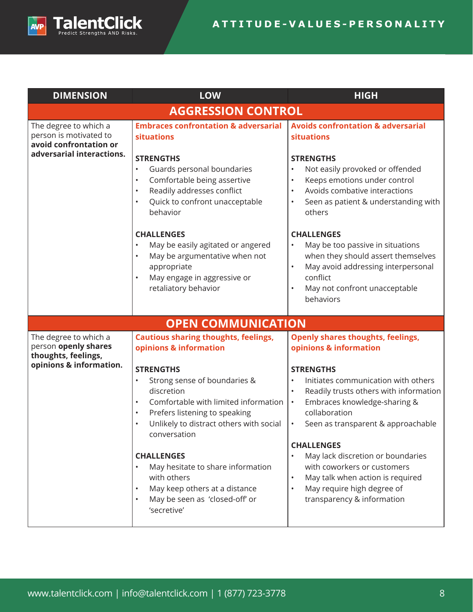

| <b>DIMENSION</b>                                                          | LOW                                                                                                                                                                                                                                                                                                                                                                                                                                                      | <b>HIGH</b>                                                                                                                                                                                                                                                                                                                                                                                                                                        |  |
|---------------------------------------------------------------------------|----------------------------------------------------------------------------------------------------------------------------------------------------------------------------------------------------------------------------------------------------------------------------------------------------------------------------------------------------------------------------------------------------------------------------------------------------------|----------------------------------------------------------------------------------------------------------------------------------------------------------------------------------------------------------------------------------------------------------------------------------------------------------------------------------------------------------------------------------------------------------------------------------------------------|--|
| <b>AGGRESSION CONTROL</b>                                                 |                                                                                                                                                                                                                                                                                                                                                                                                                                                          |                                                                                                                                                                                                                                                                                                                                                                                                                                                    |  |
| The degree to which a<br>person is motivated to<br>avoid confrontation or | <b>Embraces confrontation &amp; adversarial</b><br><b>situations</b>                                                                                                                                                                                                                                                                                                                                                                                     | <b>Avoids confrontation &amp; adversarial</b><br>situations                                                                                                                                                                                                                                                                                                                                                                                        |  |
| adversarial interactions.                                                 | <b>STRENGTHS</b><br>Guards personal boundaries<br>$\bullet$<br>Comfortable being assertive<br>$\bullet$<br>Readily addresses conflict<br>$\bullet$<br>Quick to confront unacceptable<br>$\bullet$<br>behavior                                                                                                                                                                                                                                            | <b>STRENGTHS</b><br>Not easily provoked or offended<br>$\bullet$<br>Keeps emotions under control<br>$\bullet$<br>Avoids combative interactions<br>$\bullet$<br>Seen as patient & understanding with<br>others                                                                                                                                                                                                                                      |  |
|                                                                           | <b>CHALLENGES</b><br>May be easily agitated or angered<br>$\bullet$<br>May be argumentative when not<br>$\bullet$<br>appropriate<br>May engage in aggressive or<br>$\bullet$<br>retaliatory behavior                                                                                                                                                                                                                                                     | <b>CHALLENGES</b><br>May be too passive in situations<br>$\bullet$<br>when they should assert themselves<br>May avoid addressing interpersonal<br>conflict<br>May not confront unacceptable<br>$\bullet$<br>behaviors                                                                                                                                                                                                                              |  |
|                                                                           | <b>OPEN COMMUNICATION</b>                                                                                                                                                                                                                                                                                                                                                                                                                                |                                                                                                                                                                                                                                                                                                                                                                                                                                                    |  |
| The degree to which a<br>person openly shares<br>thoughts, feelings,      | <b>Cautious sharing thoughts, feelings,</b><br>opinions & information                                                                                                                                                                                                                                                                                                                                                                                    | <b>Openly shares thoughts, feelings,</b><br>opinions & information                                                                                                                                                                                                                                                                                                                                                                                 |  |
| opinions & information.                                                   | <b>STRENGTHS</b><br>Strong sense of boundaries &<br>$\bullet$<br>discretion<br>Comfortable with limited information<br>$\bullet$<br>Prefers listening to speaking<br>$\bullet$<br>Unlikely to distract others with social<br>$\bullet$<br>conversation<br><b>CHALLENGES</b><br>May hesitate to share information<br>$\bullet$<br>with others<br>May keep others at a distance<br>$\bullet$<br>May be seen as 'closed-off' or<br>$\bullet$<br>'secretive' | <b>STRENGTHS</b><br>Initiates communication with others<br>$\bullet$<br>Readily trusts others with information<br>$\bullet$<br>Embraces knowledge-sharing &<br>$\bullet$<br>collaboration<br>Seen as transparent & approachable<br>$\bullet$<br><b>CHALLENGES</b><br>May lack discretion or boundaries<br>with coworkers or customers<br>May talk when action is required<br>$\bullet$<br>May require high degree of<br>transparency & information |  |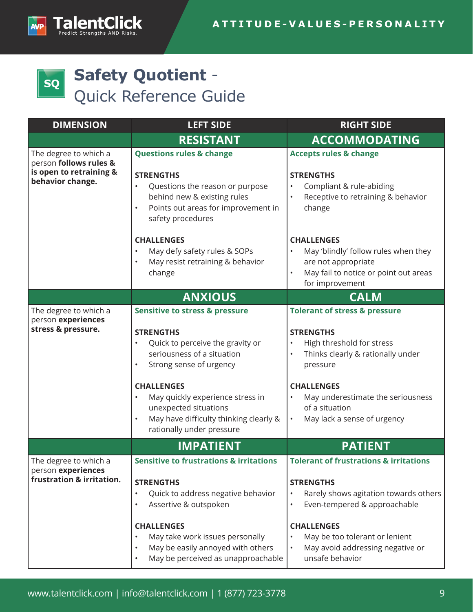

# **Safety Quotient** -  $|sq|$ Quick Reference Guide

| <b>DIMENSION</b>                                                                               | <b>LEFT SIDE</b>                                                                                                                                                                                                                                                                                                                                           | <b>RIGHT SIDE</b>                                                                                                                                                                                                                                                                                   |
|------------------------------------------------------------------------------------------------|------------------------------------------------------------------------------------------------------------------------------------------------------------------------------------------------------------------------------------------------------------------------------------------------------------------------------------------------------------|-----------------------------------------------------------------------------------------------------------------------------------------------------------------------------------------------------------------------------------------------------------------------------------------------------|
|                                                                                                | <b>RESISTANT</b>                                                                                                                                                                                                                                                                                                                                           | <b>ACCOMMODATING</b>                                                                                                                                                                                                                                                                                |
| The degree to which a<br>person follows rules &<br>is open to retraining &<br>behavior change. | <b>Questions rules &amp; change</b><br><b>STRENGTHS</b><br>Questions the reason or purpose<br>behind new & existing rules<br>Points out areas for improvement in<br>$\bullet$<br>safety procedures                                                                                                                                                         | <b>Accepts rules &amp; change</b><br><b>STRENGTHS</b><br>Compliant & rule-abiding<br>Receptive to retraining & behavior<br>$\bullet$<br>change                                                                                                                                                      |
|                                                                                                | <b>CHALLENGES</b><br>May defy safety rules & SOPs<br>$\bullet$<br>May resist retraining & behavior<br>$\bullet$<br>change                                                                                                                                                                                                                                  | <b>CHALLENGES</b><br>May 'blindly' follow rules when they<br>are not appropriate<br>May fail to notice or point out areas<br>for improvement                                                                                                                                                        |
|                                                                                                | <b>ANXIOUS</b>                                                                                                                                                                                                                                                                                                                                             | <b>CALM</b>                                                                                                                                                                                                                                                                                         |
| The degree to which a<br>person experiences<br>stress & pressure.                              | <b>Sensitive to stress &amp; pressure</b><br><b>STRENGTHS</b><br>Quick to perceive the gravity or<br>seriousness of a situation<br>Strong sense of urgency<br>$\bullet$<br><b>CHALLENGES</b><br>May quickly experience stress in<br>$\bullet$<br>unexpected situations<br>May have difficulty thinking clearly &<br>$\bullet$<br>rationally under pressure | <b>Tolerant of stress &amp; pressure</b><br><b>STRENGTHS</b><br>High threshold for stress<br>Thinks clearly & rationally under<br>$\bullet$<br>pressure<br><b>CHALLENGES</b><br>May underestimate the seriousness<br>$\bullet$<br>of a situation<br>May lack a sense of urgency<br>$\bullet$        |
|                                                                                                | <b>IMPATIENT</b>                                                                                                                                                                                                                                                                                                                                           | <b>PATIENT</b>                                                                                                                                                                                                                                                                                      |
| The degree to which a<br>person experiences<br>frustration & irritation.                       | <b>Sensitive to frustrations &amp; irritations</b><br><b>STRENGTHS</b><br>Quick to address negative behavior<br>$\bullet$<br>Assertive & outspoken<br>$\bullet$<br><b>CHALLENGES</b><br>May take work issues personally<br>$\bullet$<br>May be easily annoyed with others<br>$\bullet$<br>May be perceived as unapproachable<br>$\bullet$                  | <b>Tolerant of frustrations &amp; irritations</b><br><b>STRENGTHS</b><br>Rarely shows agitation towards others<br>$\bullet$<br>Even-tempered & approachable<br>$\bullet$<br><b>CHALLENGES</b><br>May be too tolerant or lenient<br>$\bullet$<br>May avoid addressing negative or<br>unsafe behavior |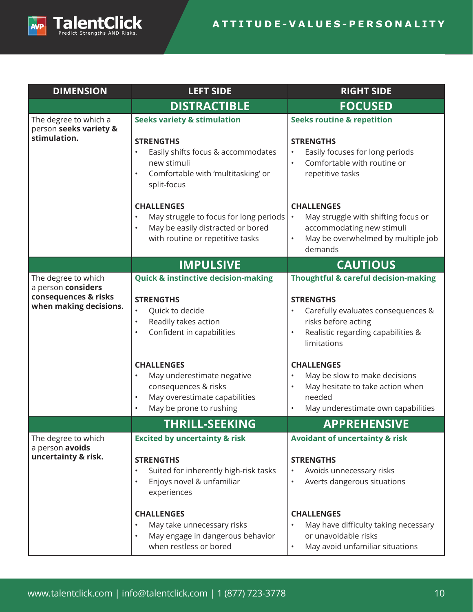

| <b>DIMENSION</b>                                                                            | <b>LEFT SIDE</b>                                                                                                                                                                                                                                                                                                                                   | <b>RIGHT SIDE</b>                                                                                                                                                                                                                                                                                                                                                      |
|---------------------------------------------------------------------------------------------|----------------------------------------------------------------------------------------------------------------------------------------------------------------------------------------------------------------------------------------------------------------------------------------------------------------------------------------------------|------------------------------------------------------------------------------------------------------------------------------------------------------------------------------------------------------------------------------------------------------------------------------------------------------------------------------------------------------------------------|
|                                                                                             | <b>DISTRACTIBLE</b>                                                                                                                                                                                                                                                                                                                                | <b>FOCUSED</b>                                                                                                                                                                                                                                                                                                                                                         |
| The degree to which a<br>person seeks variety &                                             | <b>Seeks variety &amp; stimulation</b>                                                                                                                                                                                                                                                                                                             | <b>Seeks routine &amp; repetition</b>                                                                                                                                                                                                                                                                                                                                  |
| stimulation.                                                                                | <b>STRENGTHS</b><br>Easily shifts focus & accommodates<br>$\bullet$<br>new stimuli<br>Comfortable with 'multitasking' or<br>$\bullet$<br>split-focus                                                                                                                                                                                               | <b>STRENGTHS</b><br>Easily focuses for long periods<br>$\bullet$<br>Comfortable with routine or<br>$\bullet$<br>repetitive tasks                                                                                                                                                                                                                                       |
|                                                                                             | <b>CHALLENGES</b><br>May struggle to focus for long periods<br>$\bullet$<br>May be easily distracted or bored<br>$\bullet$<br>with routine or repetitive tasks                                                                                                                                                                                     | <b>CHALLENGES</b><br>May struggle with shifting focus or<br>$\bullet$<br>accommodating new stimuli<br>May be overwhelmed by multiple job<br>$\bullet$<br>demands                                                                                                                                                                                                       |
|                                                                                             | <b>IMPULSIVE</b>                                                                                                                                                                                                                                                                                                                                   | <b>CAUTIOUS</b>                                                                                                                                                                                                                                                                                                                                                        |
| The degree to which<br>a person considers<br>consequences & risks<br>when making decisions. | <b>Quick &amp; instinctive decision-making</b><br><b>STRENGTHS</b><br>Quick to decide<br>$\bullet$<br>Readily takes action<br>$\bullet$<br>Confident in capabilities<br>$\bullet$<br><b>CHALLENGES</b><br>May underestimate negative<br>consequences & risks<br>May overestimate capabilities<br>$\bullet$<br>May be prone to rushing<br>$\bullet$ | <b>Thoughtful &amp; careful decision-making</b><br><b>STRENGTHS</b><br>Carefully evaluates consequences &<br>risks before acting<br>Realistic regarding capabilities &<br>$\bullet$<br>limitations<br><b>CHALLENGES</b><br>May be slow to make decisions<br>$\bullet$<br>May hesitate to take action when<br>$\bullet$<br>needed<br>May underestimate own capabilities |
|                                                                                             | <b>THRILL-SEEKING</b>                                                                                                                                                                                                                                                                                                                              | <b>APPREHENSIVE</b>                                                                                                                                                                                                                                                                                                                                                    |
| The degree to which<br>a person avoids<br>uncertainty & risk.                               | <b>Excited by uncertainty &amp; risk</b><br><b>STRENGTHS</b><br>Suited for inherently high-risk tasks<br>$\bullet$<br>Enjoys novel & unfamiliar<br>$\bullet$<br>experiences                                                                                                                                                                        | <b>Avoidant of uncertainty &amp; risk</b><br><b>STRENGTHS</b><br>Avoids unnecessary risks<br>$\bullet$<br>Averts dangerous situations<br>$\bullet$                                                                                                                                                                                                                     |
|                                                                                             | <b>CHALLENGES</b><br>May take unnecessary risks<br>$\bullet$<br>May engage in dangerous behavior<br>$\bullet$<br>when restless or bored                                                                                                                                                                                                            | <b>CHALLENGES</b><br>May have difficulty taking necessary<br>$\bullet$<br>or unavoidable risks<br>May avoid unfamiliar situations<br>$\bullet$                                                                                                                                                                                                                         |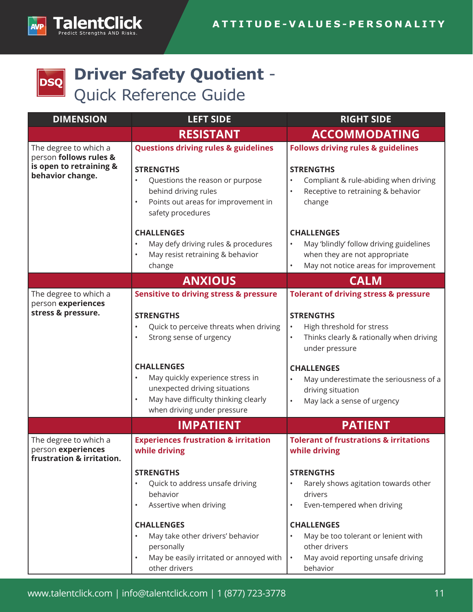

# **Driver Safety Quotient** - **DSQ** Quick Reference Guide

| <b>DIMENSION</b>                                                                               | <b>LEFT SIDE</b>                                                                                                                                                                                                                                                                                                                                                | <b>RIGHT SIDE</b>                                                                                                                                                                                                                                                                                                                             |
|------------------------------------------------------------------------------------------------|-----------------------------------------------------------------------------------------------------------------------------------------------------------------------------------------------------------------------------------------------------------------------------------------------------------------------------------------------------------------|-----------------------------------------------------------------------------------------------------------------------------------------------------------------------------------------------------------------------------------------------------------------------------------------------------------------------------------------------|
|                                                                                                | <b>RESISTANT</b>                                                                                                                                                                                                                                                                                                                                                | <b>ACCOMMODATING</b>                                                                                                                                                                                                                                                                                                                          |
| The degree to which a<br>person follows rules &<br>is open to retraining &<br>behavior change. | <b>Questions driving rules &amp; guidelines</b><br><b>STRENGTHS</b><br>Questions the reason or purpose<br>$\bullet$<br>behind driving rules<br>Points out areas for improvement in<br>$\bullet$<br>safety procedures                                                                                                                                            | <b>Follows driving rules &amp; guidelines</b><br><b>STRENGTHS</b><br>Compliant & rule-abiding when driving<br>Receptive to retraining & behavior<br>$\bullet$<br>change                                                                                                                                                                       |
|                                                                                                | <b>CHALLENGES</b><br>May defy driving rules & procedures<br>$\bullet$<br>May resist retraining & behavior<br>$\bullet$<br>change                                                                                                                                                                                                                                | <b>CHALLENGES</b><br>May 'blindly' follow driving guidelines<br>$\bullet$<br>when they are not appropriate<br>May not notice areas for improvement                                                                                                                                                                                            |
|                                                                                                | <b>ANXIOUS</b>                                                                                                                                                                                                                                                                                                                                                  | <b>CALM</b>                                                                                                                                                                                                                                                                                                                                   |
| The degree to which a<br>person experiences<br>stress & pressure.                              | <b>Sensitive to driving stress &amp; pressure</b><br><b>STRENGTHS</b><br>Quick to perceive threats when driving<br>$\bullet$<br>Strong sense of urgency<br>$\bullet$<br><b>CHALLENGES</b><br>May quickly experience stress in<br>$\bullet$<br>unexpected driving situations<br>May have difficulty thinking clearly<br>$\bullet$<br>when driving under pressure | <b>Tolerant of driving stress &amp; pressure</b><br><b>STRENGTHS</b><br>$\bullet$<br>High threshold for stress<br>Thinks clearly & rationally when driving<br>under pressure<br><b>CHALLENGES</b><br>May underestimate the seriousness of a<br>$\bullet$<br>driving situation<br>May lack a sense of urgency<br>$\bullet$                     |
|                                                                                                | <b>IMPATIENT</b>                                                                                                                                                                                                                                                                                                                                                | <b>PATIENT</b>                                                                                                                                                                                                                                                                                                                                |
| The degree to which a<br>person experiences<br>frustration & irritation.                       | <b>Experiences frustration &amp; irritation</b><br>while driving<br><b>STRENGTHS</b><br>Quick to address unsafe driving<br>$\bullet$<br>behavior<br>Assertive when driving<br>$\bullet$<br><b>CHALLENGES</b><br>May take other drivers' behavior<br>$\bullet$<br>personally<br>May be easily irritated or annoyed with<br>$\bullet$<br>other drivers            | <b>Tolerant of frustrations &amp; irritations</b><br>while driving<br><b>STRENGTHS</b><br>Rarely shows agitation towards other<br>$\bullet$<br>drivers<br>Even-tempered when driving<br><b>CHALLENGES</b><br>May be too tolerant or lenient with<br>$\bullet$<br>other drivers<br>May avoid reporting unsafe driving<br>$\bullet$<br>behavior |